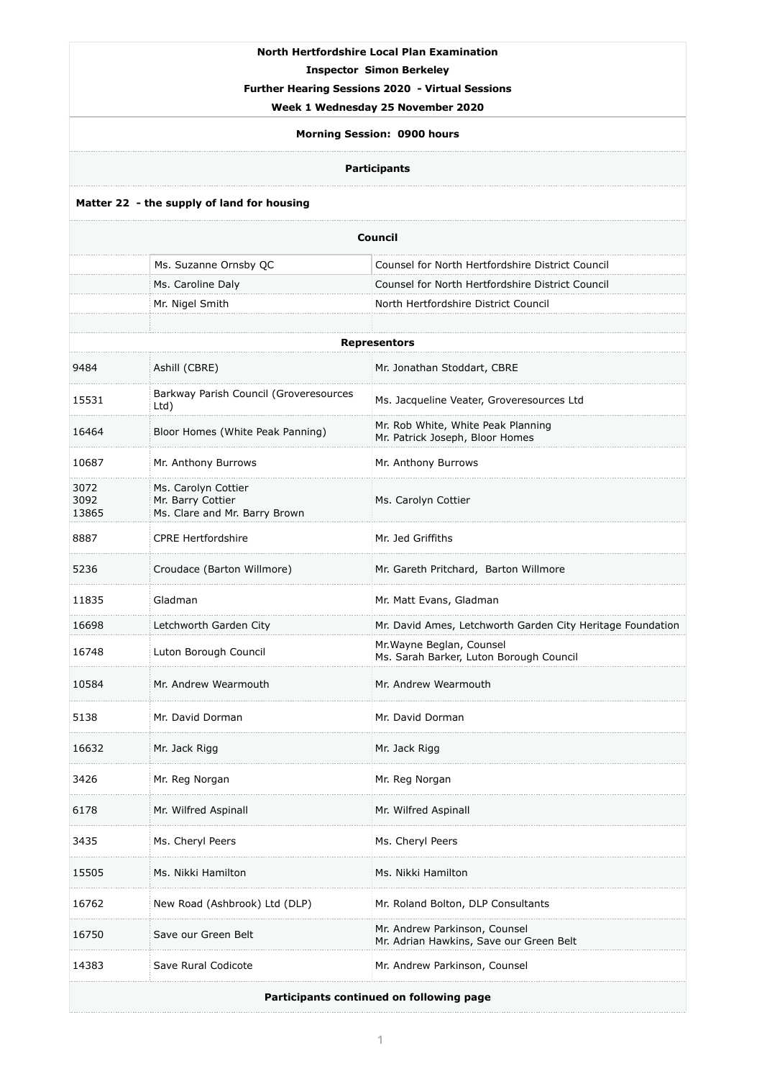| <b>North Hertfordshire Local Plan Examination</b><br><b>Inspector Simon Berkeley</b><br><b>Further Hearing Sessions 2020 - Virtual Sessions</b><br>Week 1 Wednesday 25 November 2020<br><b>Morning Session: 0900 hours</b><br><b>Participants</b> |                                                                           |                                                                       |  |  |
|---------------------------------------------------------------------------------------------------------------------------------------------------------------------------------------------------------------------------------------------------|---------------------------------------------------------------------------|-----------------------------------------------------------------------|--|--|
| Matter 22 - the supply of land for housing                                                                                                                                                                                                        |                                                                           |                                                                       |  |  |
| <b>Council</b>                                                                                                                                                                                                                                    |                                                                           |                                                                       |  |  |
|                                                                                                                                                                                                                                                   | Ms. Suzanne Ornsby QC                                                     | Counsel for North Hertfordshire District Council                      |  |  |
|                                                                                                                                                                                                                                                   | Ms. Caroline Daly                                                         | Counsel for North Hertfordshire District Council                      |  |  |
|                                                                                                                                                                                                                                                   | Mr. Nigel Smith                                                           | North Hertfordshire District Council                                  |  |  |
|                                                                                                                                                                                                                                                   |                                                                           |                                                                       |  |  |
| <b>Representors</b>                                                                                                                                                                                                                               |                                                                           |                                                                       |  |  |
| 9484                                                                                                                                                                                                                                              | Ashill (CBRE)                                                             | Mr. Jonathan Stoddart, CBRE                                           |  |  |
| 15531                                                                                                                                                                                                                                             | Barkway Parish Council (Groveresources<br>Ltd)                            | Ms. Jacqueline Veater, Groveresources Ltd                             |  |  |
| 16464                                                                                                                                                                                                                                             | Bloor Homes (White Peak Panning)                                          | Mr. Rob White, White Peak Planning<br>Mr. Patrick Joseph, Bloor Homes |  |  |
| 10687                                                                                                                                                                                                                                             | Mr. Anthony Burrows                                                       | Mr. Anthony Burrows                                                   |  |  |
| 3072<br>3092<br>13865                                                                                                                                                                                                                             | Ms. Carolyn Cottier<br>Mr. Barry Cottier<br>Ms. Clare and Mr. Barry Brown | Ms. Carolyn Cottier                                                   |  |  |
| 8887                                                                                                                                                                                                                                              | <b>CPRE Hertfordshire</b>                                                 | Mr. Jed Griffiths                                                     |  |  |
| 5236                                                                                                                                                                                                                                              | Croudace (Barton Willmore)                                                | Mr. Gareth Pritchard, Barton Willmore                                 |  |  |
| 11835                                                                                                                                                                                                                                             | Gladman                                                                   | Mr. Matt Evans, Gladman                                               |  |  |
| 16698                                                                                                                                                                                                                                             | Letchworth Garden City                                                    | Mr. David Ames, Letchworth Garden City Heritage Foundation            |  |  |
| 16748                                                                                                                                                                                                                                             | Luton Borough Council                                                     | Mr. Wayne Beglan, Counsel<br>Ms. Sarah Barker, Luton Borough Council  |  |  |
| 10584                                                                                                                                                                                                                                             | Mr. Andrew Wearmouth                                                      | Mr. Andrew Wearmouth                                                  |  |  |
| 5138                                                                                                                                                                                                                                              | Mr. David Dorman                                                          | Mr. David Dorman                                                      |  |  |

| 16632                                    | Mr. Jack Rigg                 | Mr. Jack Rigg                                                            |  |  |
|------------------------------------------|-------------------------------|--------------------------------------------------------------------------|--|--|
| 3426                                     | Mr. Reg Norgan                | Mr. Reg Norgan                                                           |  |  |
| 6178                                     | Mr. Wilfred Aspinall          | Mr. Wilfred Aspinall                                                     |  |  |
| 3435                                     | Ms. Cheryl Peers              | Ms. Cheryl Peers                                                         |  |  |
| 15505                                    | Ms. Nikki Hamilton            | Ms. Nikki Hamilton                                                       |  |  |
| 16762                                    | New Road (Ashbrook) Ltd (DLP) | Mr. Roland Bolton, DLP Consultants                                       |  |  |
| 16750                                    | Save our Green Belt           | Mr. Andrew Parkinson, Counsel<br>Mr. Adrian Hawkins, Save our Green Belt |  |  |
| 14383                                    | Save Rural Codicote           | Mr. Andrew Parkinson, Counsel                                            |  |  |
| Participants continued on following page |                               |                                                                          |  |  |